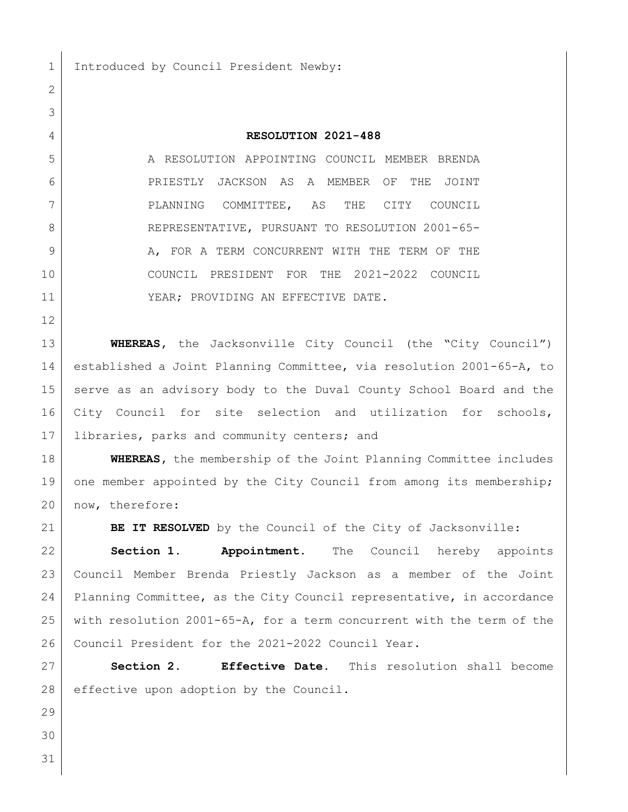1 Introduced by Council President Newby:

## **RESOLUTION 2021-488**

 A RESOLUTION APPOINTING COUNCIL MEMBER BRENDA PRIESTLY JACKSON AS A MEMBER OF THE JOINT PLANNING COMMITTEE, AS THE CITY COUNCIL 8 REPRESENTATIVE, PURSUANT TO RESOLUTION 2001-65-9 A, FOR A TERM CONCURRENT WITH THE TERM OF THE COUNCIL PRESIDENT FOR THE 2021-2022 COUNCIL 11 | YEAR; PROVIDING AN EFFECTIVE DATE.

**WHEREAS,** the Jacksonville City Council (the "City Council") established a Joint Planning Committee, via resolution 2001-65-A, to serve as an advisory body to the Duval County School Board and the 16 City Council for site selection and utilization for schools, 17 libraries, parks and community centers; and

**WHEREAS,** the membership of the Joint Planning Committee includes 19 one member appointed by the City Council from among its membership; 20 | now, therefore:

**BE IT RESOLVED** by the Council of the City of Jacksonville:

 **Section 1. Appointment.** The Council hereby appoints Council Member Brenda Priestly Jackson as a member of the Joint Planning Committee, as the City Council representative, in accordance with resolution 2001-65-A, for a term concurrent with the term of the 26 Council President for the 2021-2022 Council Year.

 **Section 2. Effective Date.** This resolution shall become 28 effective upon adoption by the Council.